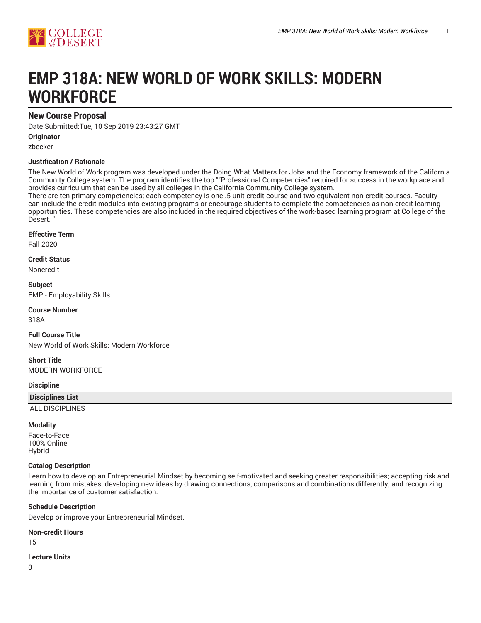

# **EMP 318A: NEW WORLD OF WORK SKILLS: MODERN WORKFORCE**

# **New Course Proposal**

Date Submitted:Tue, 10 Sep 2019 23:43:27 GMT

**Originator**

zbecker

## **Justification / Rationale**

The New World of Work program was developed under the Doing What Matters for Jobs and the Economy framework of the California Community College system. The program identifies the top ""Professional Competencies" required for success in the workplace and provides curriculum that can be used by all colleges in the California Community College system.

There are ten primary competencies; each competency is one .5 unit credit course and two equivalent non-credit courses. Faculty can include the credit modules into existing programs or encourage students to complete the competencies as non-credit learning opportunities. These competencies are also included in the required objectives of the work-based learning program at College of the Desert. "

## **Effective Term**

Fall 2020

**Credit Status** Noncredit

**Subject** EMP - Employability Skills

**Course Number**

318A

**Full Course Title** New World of Work Skills: Modern Workforce

**Short Title** MODERN WORKFORCE

**Discipline**

**Disciplines List**

ALL DISCIPLINES

## **Modality**

Face-to-Face 100% Online Hybrid

## **Catalog Description**

Learn how to develop an Entrepreneurial Mindset by becoming self-motivated and seeking greater responsibilities; accepting risk and learning from mistakes; developing new ideas by drawing connections, comparisons and combinations differently; and recognizing the importance of customer satisfaction.

## **Schedule Description**

Develop or improve your Entrepreneurial Mindset.

**Non-credit Hours**

15

**Lecture Units**

0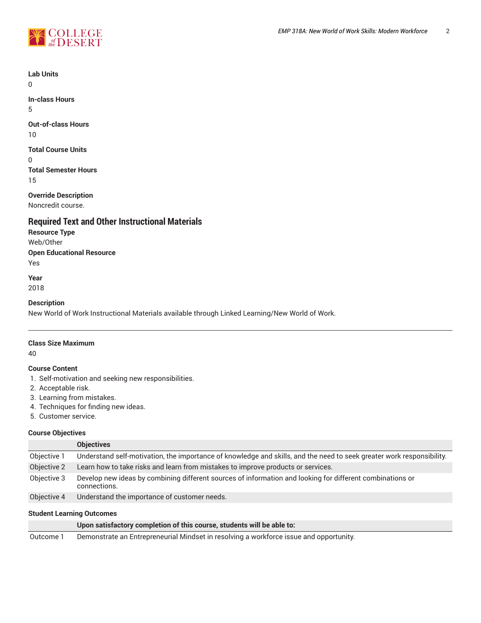



**Lab Units**

 $\Omega$ 

**In-class Hours** 5

**Out-of-class Hours**

10

**Total Course Units**

0

**Total Semester Hours** 15

**Override Description** Noncredit course.

# **Required Text and Other Instructional Materials**

**Resource Type** Web/Other **Open Educational Resource** Yes

**Year**

2018

## **Description**

New World of Work Instructional Materials available through Linked Learning/New World of Work.

## **Class Size Maximum**

40

# **Course Content**

- 1. Self-motivation and seeking new responsibilities.
- 2. Acceptable risk.
- 3. Learning from mistakes.
- 4. Techniques for finding new ideas.
- 5. Customer service.

## **Course Objectives**

|             | <b>Objectives</b>                                                                                                         |
|-------------|---------------------------------------------------------------------------------------------------------------------------|
| Objective 1 | Understand self-motivation, the importance of knowledge and skills, and the need to seek greater work responsibility.     |
| Objective 2 | Learn how to take risks and learn from mistakes to improve products or services.                                          |
| Objective 3 | Develop new ideas by combining different sources of information and looking for different combinations or<br>connections. |
| Objective 4 | Understand the importance of customer needs.                                                                              |

## **Student Learning Outcomes**

|           | Upon satisfactory completion of this course, students will be able to:                 |
|-----------|----------------------------------------------------------------------------------------|
| Outcome 1 | Demonstrate an Entrepreneurial Mindset in resolving a workforce issue and opportunity. |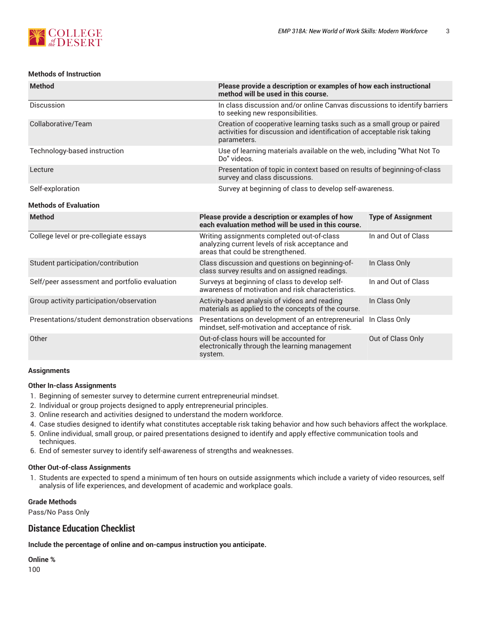

## **Methods of Instruction**

| <b>Method</b>                | Please provide a description or examples of how each instructional<br>method will be used in this course.                                                       |  |  |  |
|------------------------------|-----------------------------------------------------------------------------------------------------------------------------------------------------------------|--|--|--|
| <b>Discussion</b>            | In class discussion and/or online Canvas discussions to identify barriers<br>to seeking new responsibilities.                                                   |  |  |  |
| Collaborative/Team           | Creation of cooperative learning tasks such as a small group or paired<br>activities for discussion and identification of acceptable risk taking<br>parameters. |  |  |  |
| Technology-based instruction | Use of learning materials available on the web, including "What Not To<br>Do" videos.                                                                           |  |  |  |
| Lecture                      | Presentation of topic in context based on results of beginning-of-class<br>survey and class discussions.                                                        |  |  |  |
| Self-exploration             | Survey at beginning of class to develop self-awareness.                                                                                                         |  |  |  |
| <b>Methods of Evaluation</b> |                                                                                                                                                                 |  |  |  |
| <b>Method</b>                | Please provide a description or examples of how<br><b>Type of Assignment</b>                                                                                    |  |  |  |

|                                                  | each evaluation method will be used in this course.                                                                                |                     |
|--------------------------------------------------|------------------------------------------------------------------------------------------------------------------------------------|---------------------|
| College level or pre-collegiate essays           | Writing assignments completed out-of-class<br>analyzing current levels of risk acceptance and<br>areas that could be strengthened. | In and Out of Class |
| Student participation/contribution               | Class discussion and questions on beginning-of-<br>class survey results and on assigned readings.                                  | In Class Only       |
| Self/peer assessment and portfolio evaluation    | Surveys at beginning of class to develop self-<br>awareness of motivation and risk characteristics.                                | In and Out of Class |
| Group activity participation/observation         | Activity-based analysis of videos and reading<br>materials as applied to the concepts of the course.                               | In Class Only       |
| Presentations/student demonstration observations | Presentations on development of an entrepreneurial<br>mindset, self-motivation and acceptance of risk.                             | In Class Only       |
| Other                                            | Out-of-class hours will be accounted for<br>electronically through the learning management<br>system.                              | Out of Class Only   |

## **Assignments**

## **Other In-class Assignments**

- 1. Beginning of semester survey to determine current entrepreneurial mindset.
- 2. Individual or group projects designed to apply entrepreneurial principles.
- 3. Online research and activities designed to understand the modern workforce.
- 4. Case studies designed to identify what constitutes acceptable risk taking behavior and how such behaviors affect the workplace.
- 5. Online individual, small group, or paired presentations designed to identify and apply effective communication tools and techniques.
- 6. End of semester survey to identify self-awareness of strengths and weaknesses.

#### **Other Out-of-class Assignments**

1. Students are expected to spend a minimum of ten hours on outside assignments which include a variety of video resources, self analysis of life experiences, and development of academic and workplace goals.

## **Grade Methods**

Pass/No Pass Only

# **Distance Education Checklist**

**Include the percentage of online and on-campus instruction you anticipate.**

**Online %** 100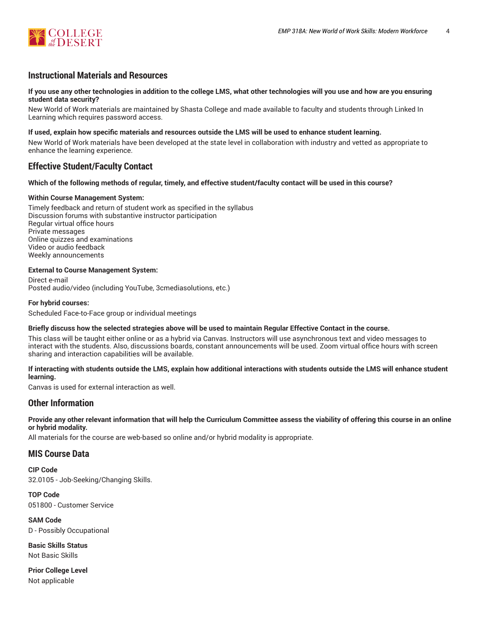

# **Instructional Materials and Resources**

## If you use any other technologies in addition to the college LMS, what other technologies will you use and how are you ensuring **student data security?**

New World of Work materials are maintained by Shasta College and made available to faculty and students through Linked In Learning which requires password access.

## **If used, explain how specific materials and resources outside the LMS will be used to enhance student learning.**

New World of Work materials have been developed at the state level in collaboration with industry and vetted as appropriate to enhance the learning experience.

# **Effective Student/Faculty Contact**

## Which of the following methods of regular, timely, and effective student/faculty contact will be used in this course?

## **Within Course Management System:**

Timely feedback and return of student work as specified in the syllabus Discussion forums with substantive instructor participation Regular virtual office hours Private messages Online quizzes and examinations Video or audio feedback Weekly announcements

## **External to Course Management System:**

Direct e-mail Posted audio/video (including YouTube, 3cmediasolutions, etc.)

## **For hybrid courses:**

Scheduled Face-to-Face group or individual meetings

## Briefly discuss how the selected strategies above will be used to maintain Regular Effective Contact in the course.

This class will be taught either online or as a hybrid via Canvas. Instructors will use asynchronous text and video messages to interact with the students. Also, discussions boards, constant announcements will be used. Zoom virtual office hours with screen sharing and interaction capabilities will be available.

## **If interacting with students outside the LMS, explain how additional interactions with students outside the LMS will enhance student learning.**

Canvas is used for external interaction as well.

## **Other Information**

Provide any other relevant information that will help the Curriculum Committee assess the viability of offering this course in an online **or hybrid modality.**

All materials for the course are web-based so online and/or hybrid modality is appropriate.

## **MIS Course Data**

**CIP Code** 32.0105 - Job-Seeking/Changing Skills.

**TOP Code** 051800 - Customer Service

**SAM Code** D - Possibly Occupational

**Basic Skills Status** Not Basic Skills

**Prior College Level** Not applicable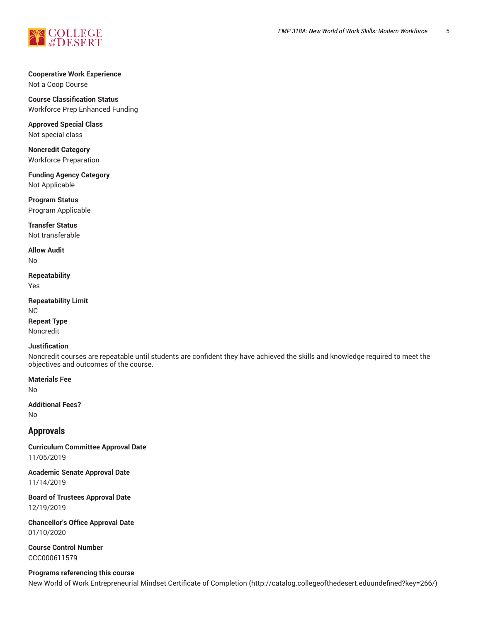

## **Cooperative Work Experience** Not a Coop Course

**Course Classification Status**

Workforce Prep Enhanced Funding

**Approved Special Class** Not special class

**Noncredit Category** Workforce Preparation

**Funding Agency Category** Not Applicable

**Program Status** Program Applicable

**Transfer Status** Not transferable

**Allow Audit** No

**Repeatability** Yes

**Repeatability Limit** NC **Repeat Type** Noncredit

## **Justification**

Noncredit courses are repeatable until students are confident they have achieved the skills and knowledge required to meet the objectives and outcomes of the course.

**Materials Fee**

No

**Additional Fees?** No

# **Approvals**

**Curriculum Committee Approval Date** 11/05/2019

**Academic Senate Approval Date** 11/14/2019

**Board of Trustees Approval Date** 12/19/2019

**Chancellor's Office Approval Date** 01/10/2020

**Course Control Number** CCC000611579

**Programs referencing this course**

New World of Work Entrepreneurial Mindset Certificate of Completion (http://catalog.collegeofthedesert.eduundefined?key=266/)